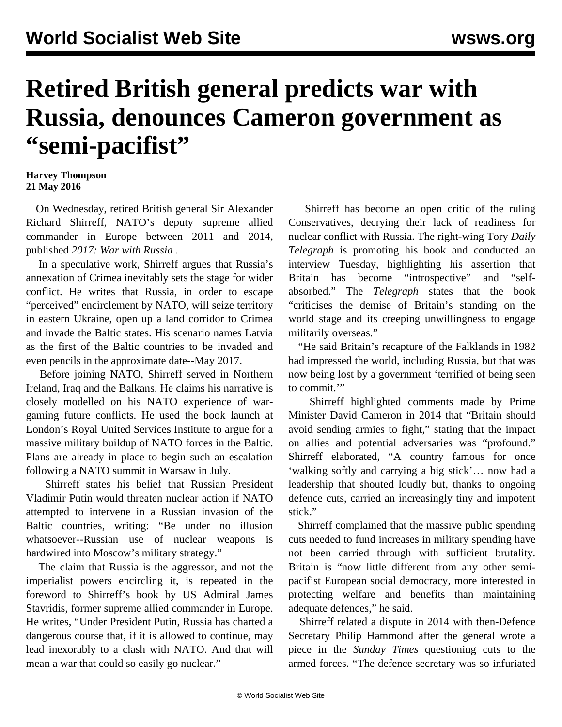## **Retired British general predicts war with Russia, denounces Cameron government as "semi-pacifist"**

## **Harvey Thompson 21 May 2016**

 On Wednesday, retired British general Sir Alexander Richard Shirreff, NATO's deputy supreme allied commander in Europe between 2011 and 2014, published *2017: War with Russia* .

 In a speculative work, Shirreff argues that Russia's annexation of Crimea inevitably sets the stage for wider conflict. He writes that Russia, in order to escape "perceived" encirclement by NATO, will seize territory in eastern Ukraine, open up a land corridor to Crimea and invade the Baltic states. His scenario names Latvia as the first of the Baltic countries to be invaded and even pencils in the approximate date--May 2017.

 Before joining NATO, Shirreff served in Northern Ireland, Iraq and the Balkans. He claims his narrative is closely modelled on his NATO experience of wargaming future conflicts. He used the book launch at London's Royal United Services Institute to argue for a massive military buildup of NATO forces in the Baltic. Plans are already in place to begin such an escalation following a NATO summit in Warsaw in July.

 Shirreff states his belief that Russian President Vladimir Putin would threaten nuclear action if NATO attempted to intervene in a Russian invasion of the Baltic countries, writing: "Be under no illusion whatsoever--Russian use of nuclear weapons is hardwired into Moscow's military strategy."

 The claim that Russia is the aggressor, and not the imperialist powers encircling it, is repeated in the foreword to Shirreff's book by US Admiral James Stavridis, former supreme allied commander in Europe. He writes, "Under President Putin, Russia has charted a dangerous course that, if it is allowed to continue, may lead inexorably to a clash with NATO. And that will mean a war that could so easily go nuclear."

 Shirreff has become an open critic of the ruling Conservatives, decrying their lack of readiness for nuclear conflict with Russia. The right-wing Tory *Daily Telegraph* is promoting his book and conducted an interview Tuesday, highlighting his assertion that Britain has become "introspective" and "selfabsorbed." The *Telegraph* states that the book "criticises the demise of Britain's standing on the world stage and its creeping unwillingness to engage militarily overseas."

 "He said Britain's recapture of the Falklands in 1982 had impressed the world, including Russia, but that was now being lost by a government 'terrified of being seen to commit.'"

 Shirreff highlighted comments made by Prime Minister David Cameron in 2014 that "Britain should avoid sending armies to fight," stating that the impact on allies and potential adversaries was "profound." Shirreff elaborated, "A country famous for once 'walking softly and carrying a big stick'… now had a leadership that shouted loudly but, thanks to ongoing defence cuts, carried an increasingly tiny and impotent stick."

 Shirreff complained that the massive public spending cuts needed to fund increases in military spending have not been carried through with sufficient brutality. Britain is "now little different from any other semipacifist European social democracy, more interested in protecting welfare and benefits than maintaining adequate defences," he said.

 Shirreff related a dispute in 2014 with then-Defence Secretary Philip Hammond after the general wrote a piece in the *Sunday Times* questioning cuts to the armed forces. "The defence secretary was so infuriated